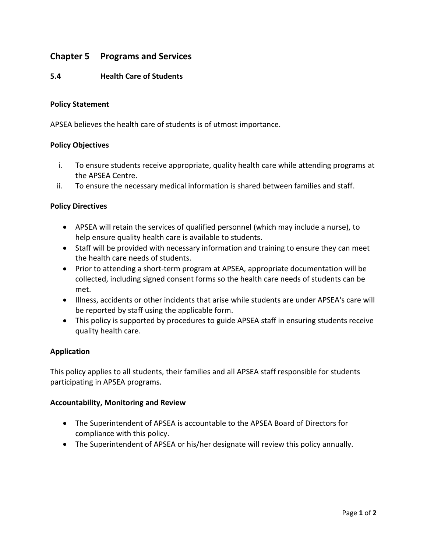# **Chapter 5 Programs and Services**

## **5.4 Health Care of Students**

#### **Policy Statement**

APSEA believes the health care of students is of utmost importance.

#### **Policy Objectives**

- i. To ensure students receive appropriate, quality health care while attending programs at the APSEA Centre.
- ii. To ensure the necessary medical information is shared between families and staff.

#### **Policy Directives**

- APSEA will retain the services of qualified personnel (which may include a nurse), to help ensure quality health care is available to students.
- Staff will be provided with necessary information and training to ensure they can meet the health care needs of students.
- Prior to attending a short-term program at APSEA, appropriate documentation will be collected, including signed consent forms so the health care needs of students can be met.
- Illness, accidents or other incidents that arise while students are under APSEA's care will be reported by staff using the applicable form.
- This policy is supported by procedures to guide APSEA staff in ensuring students receive quality health care.

### **Application**

This policy applies to all students, their families and all APSEA staff responsible for students participating in APSEA programs.

#### **Accountability, Monitoring and Review**

- The Superintendent of APSEA is accountable to the APSEA Board of Directors for compliance with this policy.
- The Superintendent of APSEA or his/her designate will review this policy annually.